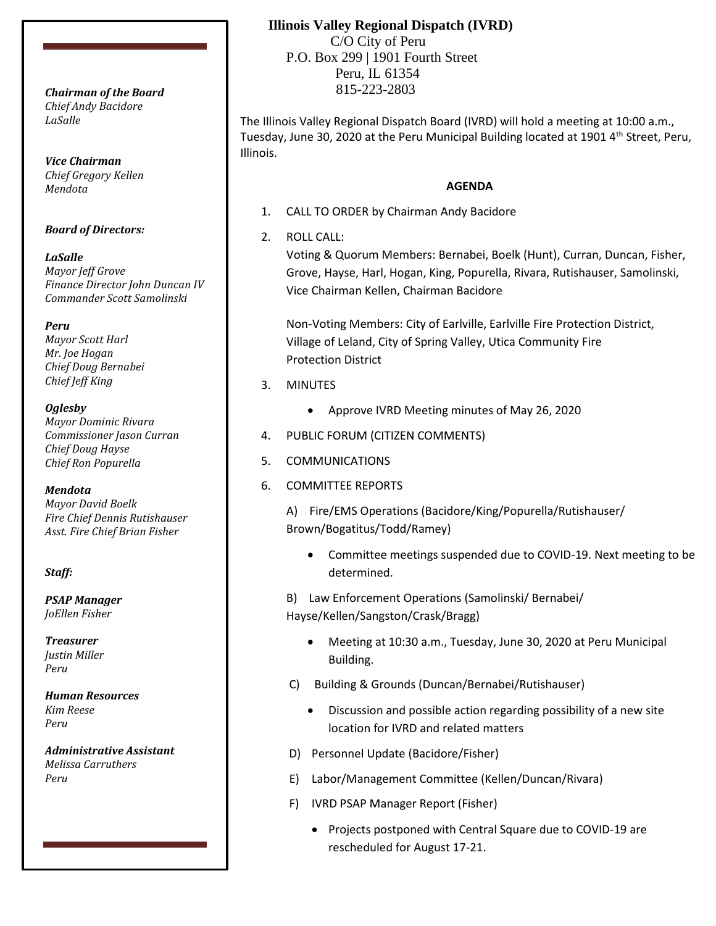*Chief Andy Bacidore LaSalle*

*Vice Chairman Chief Gregory Kellen Mendota*

### *Board of Directors:*

*LaSalle Mayor Jeff Grove Finance Director John Duncan IV Commander Scott Samolinski*

*Peru Mayor Scott Harl Mr. Joe Hogan Chief Doug Bernabei Chief Jeff King*

*Oglesby Mayor Dominic Rivara Commissioner Jason Curran Chief Doug Hayse Chief Ron Popurella*

*Mendota Mayor David Boelk Fire Chief Dennis Rutishauser Asst. Fire Chief Brian Fisher*

#### *Staff:*

*PSAP Manager JoEllen Fisher*

*Treasurer Justin Miller Peru*

*Human Resources Kim Reese Peru*

*Administrative Assistant Melissa Carruthers Peru*

## **Illinois Valley Regional Dispatch (IVRD)**

 C/O City of Peru P.O. Box 299 | 1901 Fourth Street Peru, IL 61354 815-223-2803 *Chairman of the Board*

> The Illinois Valley Regional Dispatch Board (IVRD) will hold a meeting at 10:00 a.m., Tuesday, June 30, 2020 at the Peru Municipal Building located at 1901  $4<sup>th</sup>$  Street, Peru, Illinois.

## **AGENDA**

- 1. CALL TO ORDER by Chairman Andy Bacidore
- 2. ROLL CALL:

Voting & Quorum Members: Bernabei, Boelk (Hunt), Curran, Duncan, Fisher, Grove, Hayse, Harl, Hogan, King, Popurella, Rivara, Rutishauser, Samolinski, Vice Chairman Kellen, Chairman Bacidore

Non-Voting Members: City of Earlville, Earlville Fire Protection District, Village of Leland, City of Spring Valley, Utica Community Fire Protection District

- 3. MINUTES
	- Approve IVRD Meeting minutes of May 26, 2020
- 4. PUBLIC FORUM (CITIZEN COMMENTS)
- 5. COMMUNICATIONS
- 6. COMMITTEE REPORTS

A) Fire/EMS Operations (Bacidore/King/Popurella/Rutishauser/ Brown/Bogatitus/Todd/Ramey)

• Committee meetings suspended due to COVID-19. Next meeting to be determined.

B) Law Enforcement Operations (Samolinski/ Bernabei/ Hayse/Kellen/Sangston/Crask/Bragg)

- Meeting at 10:30 a.m., Tuesday, June 30, 2020 at Peru Municipal Building.
- C) Building & Grounds (Duncan/Bernabei/Rutishauser)
	- Discussion and possible action regarding possibility of a new site location for IVRD and related matters
- D) Personnel Update (Bacidore/Fisher)
- E) Labor/Management Committee (Kellen/Duncan/Rivara)
- F) IVRD PSAP Manager Report (Fisher)
	- Projects postponed with Central Square due to COVID-19 are rescheduled for August 17-21.